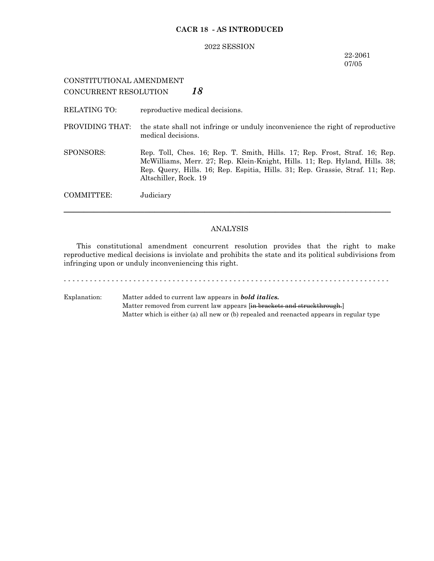### **CACR 18 - AS INTRODUCED**

#### 2022 SESSION

### 22-2061 07/05

# CONSTITUTIONAL AMENDMENT CONCURRENT RESOLUTION *18*

RELATING TO: reproductive medical decisions.

- PROVIDING THAT: the state shall not infringe or unduly inconvenience the right of reproductive medical decisions.
- SPONSORS: Rep. Toll, Ches. 16; Rep. T. Smith, Hills. 17; Rep. Frost, Straf. 16; Rep. McWilliams, Merr. 27; Rep. Klein-Knight, Hills. 11; Rep. Hyland, Hills. 38; Rep. Query, Hills. 16; Rep. Espitia, Hills. 31; Rep. Grassie, Straf. 11; Rep. Altschiller, Rock. 19

COMMITTEE: Judiciary

#### ANALYSIS

─────────────────────────────────────────────────────────────────

This constitutional amendment concurrent resolution provides that the right to make reproductive medical decisions is inviolate and prohibits the state and its political subdivisions from infringing upon or unduly inconveniencing this right.

- - - - - - - - - - - - - - - - - - - - - - - - - - - - - - - - - - - - - - - - - - - - - - - - - - - - - - - - - - - - - - - - - - - - - - - - - - -

Explanation: Matter added to current law appears in *bold italics.* Matter removed from current law appears [in brackets and struckthrough.] Matter which is either (a) all new or (b) repealed and reenacted appears in regular type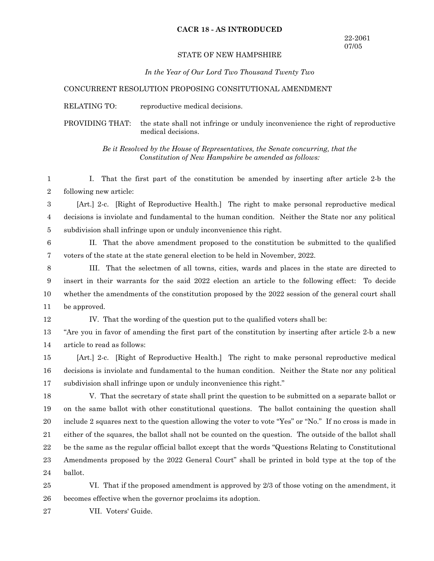### **CACR 18 - AS INTRODUCED**

### STATE OF NEW HAMPSHIRE

*In the Year of Our Lord Two Thousand Twenty Two*

#### CONCURRENT RESOLUTION PROPOSING CONSITUTIONAL AMENDMENT

RELATING TO: reproductive medical decisions.

PROVIDING THAT: the state shall not infringe or unduly inconvenience the right of reproductive medical decisions.

> *Be it Resolved by the House of Representatives, the Senate concurring, that the Constitution of New Hampshire be amended as follows:*

I. That the first part of the constitution be amended by inserting after article 2-b the following new article: 1 2

[Art.] 2-c. [Right of Reproductive Health.] The right to make personal reproductive medical decisions is inviolate and fundamental to the human condition. Neither the State nor any political subdivision shall infringe upon or unduly inconvenience this right. 3 4 5

II. That the above amendment proposed to the constitution be submitted to the qualified voters of the state at the state general election to be held in November, 2022. 6 7

III. That the selectmen of all towns, cities, wards and places in the state are directed to insert in their warrants for the said 2022 election an article to the following effect: To decide whether the amendments of the constitution proposed by the 2022 session of the general court shall be approved. 8 9 10 11

12

IV. That the wording of the question put to the qualified voters shall be:

"Are you in favor of amending the first part of the constitution by inserting after article 2-b a new article to read as follows: 13 14

[Art.] 2-c. [Right of Reproductive Health.] The right to make personal reproductive medical decisions is inviolate and fundamental to the human condition. Neither the State nor any political subdivision shall infringe upon or unduly inconvenience this right." 15 16 17

V. That the secretary of state shall print the question to be submitted on a separate ballot or on the same ballot with other constitutional questions. The ballot containing the question shall include 2 squares next to the question allowing the voter to vote "Yes" or "No." If no cross is made in either of the squares, the ballot shall not be counted on the question. The outside of the ballot shall be the same as the regular official ballot except that the words "Questions Relating to Constitutional Amendments proposed by the 2022 General Court" shall be printed in bold type at the top of the ballot. 18 19 20 21 22 23 24

VI. That if the proposed amendment is approved by 2/3 of those voting on the amendment, it becomes effective when the governor proclaims its adoption. 25 26

VII. Voters' Guide. 27